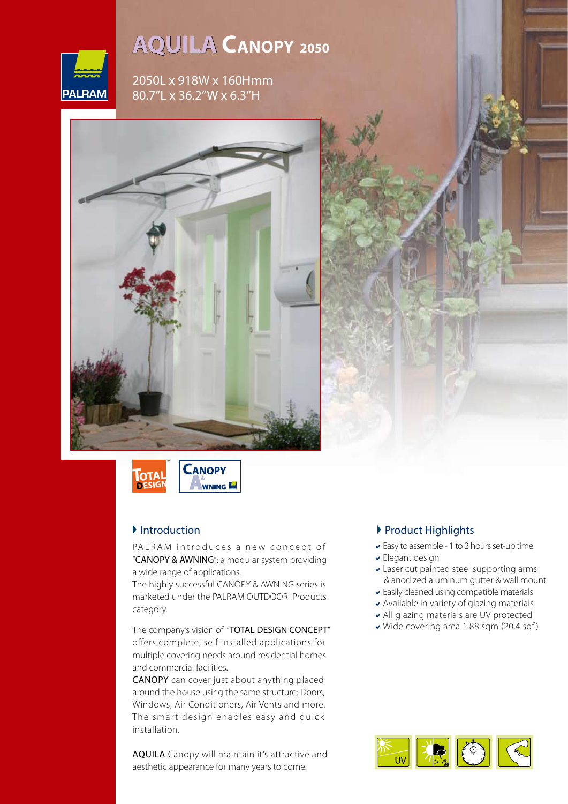

# **<sup>2050</sup> CANOPY AQUILA**

2050L x 918W x 160Hmm 80.7"L x 36.2"W x 6.3"H





## $\blacksquare$ Introduction

PALRAM introduces a new concept of "CANOPY & AWNING": a modular system providing a wide range of applications.

The highly successful CANOPY & AWNING series is marketed under the PALRAM OUTDOOR Products .category

The company's vision of "TOTAL DESIGN CONCEPT" offers complete, self installed applications for multiple covering needs around residential homes and commercial facilities.

CANOPY can cover just about anything placed around the house using the same structure: Doors, Windows, Air Conditioners, Air Vents and more. The smart design enables easy and quick .installation

AQUILA Canopy will maintain it's attractive and aesthetic appearance for many years to come.

#### Product Highlights

- $\vee$  Easy to assemble 1 to 2 hours set-up time
- $\overline{\phantom{a}}$  Elegant design
- $\blacktriangleright$  Laser cut painted steel supporting arms & anodized aluminum gutter & wall mount
- $\blacktriangleright$  Easily cleaned using compatible materials
- $\blacktriangleright$  Available in variety of glazing materials
- v All glazing materials are UV protected
- $\vee$  Wide covering area 1.88 sqm (20.4 sqf)